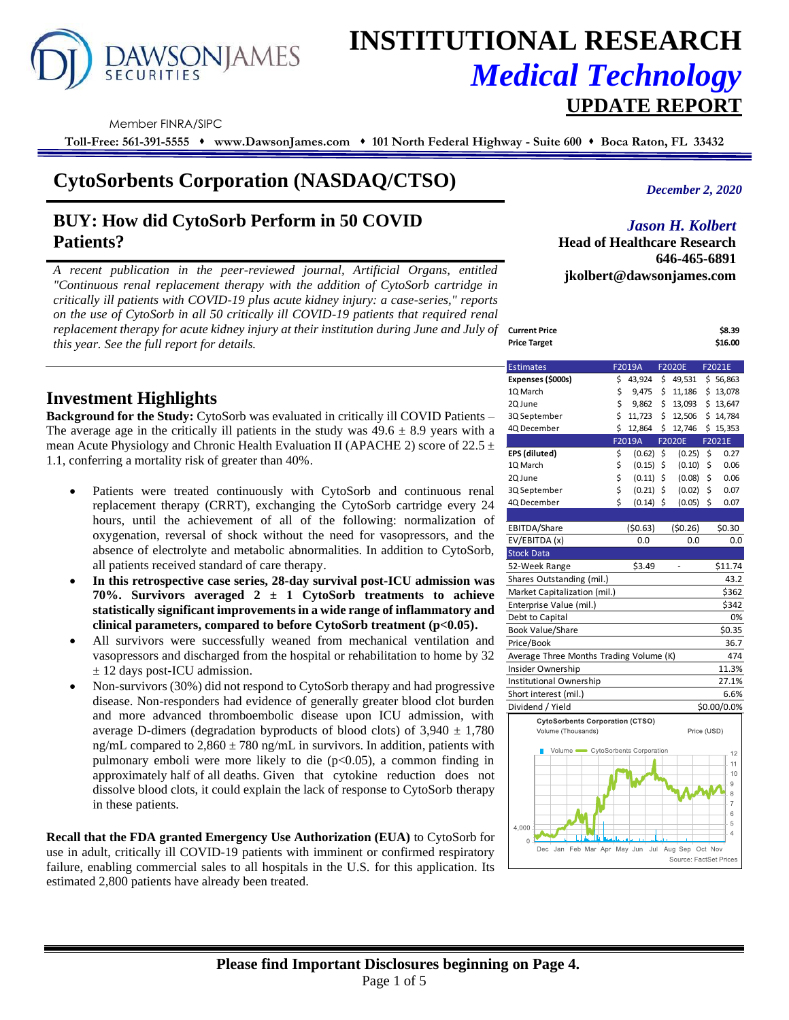# **AWSONJAMES**

# **INSTITUTIONAL RESEARCH** *Medical Technology*  **UPDATE REPORT**

Member FINRA/SIPC

**Toll-Free: 561-391-5555** ⬧ **www.DawsonJames.com** ⬧ **101 North Federal Highway - Suite 600** ⬧ **Boca Raton, FL 33432**

# **CytoSorbents Corporation (NASDAQ/CTSO)**

# **BUY: How did CytoSorb Perform in 50 COVID Patients?**

*A recent publication in the peer-reviewed journal, Artificial Organs, entitled "Continuous renal replacement therapy with the addition of CytoSorb cartridge in critically ill patients with COVID-19 plus acute kidney injury: a case-series," reports on the use of CytoSorb in all 50 critically ill COVID-19 patients that required renal replacement therapy for acute kidney injury at their institution during June and July of this year. See the full report for details.*

*December 2, 2020*

#### *Jason H. Kolbert*

**Head of Healthcare Research 646-465-6891 jkolbert@dawsonjames.com**

| \$8.39  |
|---------|
| \$16.00 |
|         |

## **Investment Highlights**

**Background for the Study:** CytoSorb was evaluated in critically ill COVID Patients – The average age in the critically ill patients in the study was  $49.6 \pm 8.9$  years with a mean Acute Physiology and Chronic Health Evaluation II (APACHE 2) score of  $22.5 \pm$ 1.1, conferring a mortality risk of greater than 40%.

- Patients were treated continuously with CytoSorb and continuous renal replacement therapy (CRRT), exchanging the CytoSorb cartridge every 24 hours, until the achievement of all of the following: normalization of oxygenation, reversal of shock without the need for vasopressors, and the absence of electrolyte and metabolic abnormalities. In addition to CytoSorb, all patients received standard of care therapy.
- **In this retrospective case series, 28-day survival post-ICU admission was 70%. Survivors averaged 2 ± 1 CytoSorb treatments to achieve statistically significant improvements in a wide range of inflammatory and clinical parameters, compared to before CytoSorb treatment (p<0.05).**
- All survivors were successfully weaned from mechanical ventilation and vasopressors and discharged from the hospital or rehabilitation to home by 32 ± 12 days post-ICU admission.
- Non-survivors (30%) did not respond to CytoSorb therapy and had progressive disease. Non-responders had evidence of generally greater blood clot burden and more advanced thromboembolic disease upon ICU admission, with average D-dimers (degradation byproducts of blood clots) of  $3,940 \pm 1,780$ ng/mL compared to  $2,860 \pm 780$  ng/mL in survivors. In addition, patients with pulmonary emboli were more likely to die  $(p<0.05)$ , a common finding in approximately half of all deaths. Given that cytokine reduction does not dissolve blood clots, it could explain the lack of response to CytoSorb therapy in these patients.

**Recall that the FDA granted Emergency Use Authorization (EUA)** to CytoSorb for use in adult, critically ill COVID-19 patients with imminent or confirmed respiratory failure, enabling commercial sales to all hospitals in the U.S. for this application. Its estimated 2,800 patients have already been treated.

| <b>Estimates</b>                               | F2019A |         |    | <b>F2020E</b> | F2021E |             |  |  |
|------------------------------------------------|--------|---------|----|---------------|--------|-------------|--|--|
| Expenses (\$000s)                              | \$     | 43,924  | \$ | 49,531        |        | \$56,863    |  |  |
| 1Q March                                       | \$     | 9,475   | \$ | 11,186        | \$     | 13,078      |  |  |
| 2Q June                                        | \$     | 9,862   | \$ | 13,093        | \$     | 13,647      |  |  |
| 3Q September                                   | \$     | 11,723  | \$ | 12,506        | \$     | 14,784      |  |  |
| 4Q December                                    | \$     | 12,864  | \$ | 12,746        | \$     | 15,353      |  |  |
|                                                |        | F2019A  |    | F2020E        |        | F2021E      |  |  |
| EPS (diluted)                                  | \$     | (0.62)  | \$ | (0.25)        | \$     | 0.27        |  |  |
| 1Q March                                       | \$     | (0.15)  | \$ | (0.10)        | \$     | 0.06        |  |  |
| 2Q June                                        | \$     | (0.11)  | \$ | (0.08)        | \$     | 0.06        |  |  |
| 3Q September                                   | \$     | (0.21)  | \$ | (0.02)        | \$     | 0.07        |  |  |
| 4Q December                                    | \$     | (0.14)  | \$ | (0.05)        | \$     | 0.07        |  |  |
|                                                |        |         |    |               |        |             |  |  |
| EBITDA/Share                                   |        | (50.63) |    | (50.26)       |        | \$0.30      |  |  |
| EV/EBITDA (x)                                  |        | 0.0     |    | 0.0           |        | 0.0         |  |  |
| <b>Stock Data</b>                              |        |         |    |               |        |             |  |  |
| 52-Week Range                                  |        | \$3.49  |    | ٠             |        | \$11.74     |  |  |
| Shares Outstanding (mil.)                      |        |         |    |               |        | 43.2        |  |  |
| Market Capitalization (mil.)<br>\$362          |        |         |    |               |        |             |  |  |
| \$342<br>Enterprise Value (mil.)               |        |         |    |               |        |             |  |  |
| 0%<br>Debt to Capital                          |        |         |    |               |        |             |  |  |
| <b>Book Value/Share</b>                        |        |         |    |               |        | \$0.35      |  |  |
| Price/Book                                     |        |         |    |               |        | 36.7        |  |  |
| Average Three Months Trading Volume (K)<br>474 |        |         |    |               |        |             |  |  |
| Insider Ownership                              |        |         |    |               |        | 11.3%       |  |  |
| Institutional Ownership                        |        |         |    |               |        | 27.1%       |  |  |
| Short interest (mil.)                          |        |         |    |               |        | 6.6%        |  |  |
| Dividend / Yield                               |        |         |    |               |        | \$0.00/0.0% |  |  |
| <b>CytoSorbents Corporation (CTSO)</b>         |        |         |    |               |        |             |  |  |
| Volume (Thousands)<br>Price (USD)              |        |         |    |               |        |             |  |  |
|                                                |        |         |    |               |        |             |  |  |



### **Please find Important Disclosures beginning on Page 4.** Page 1 of 5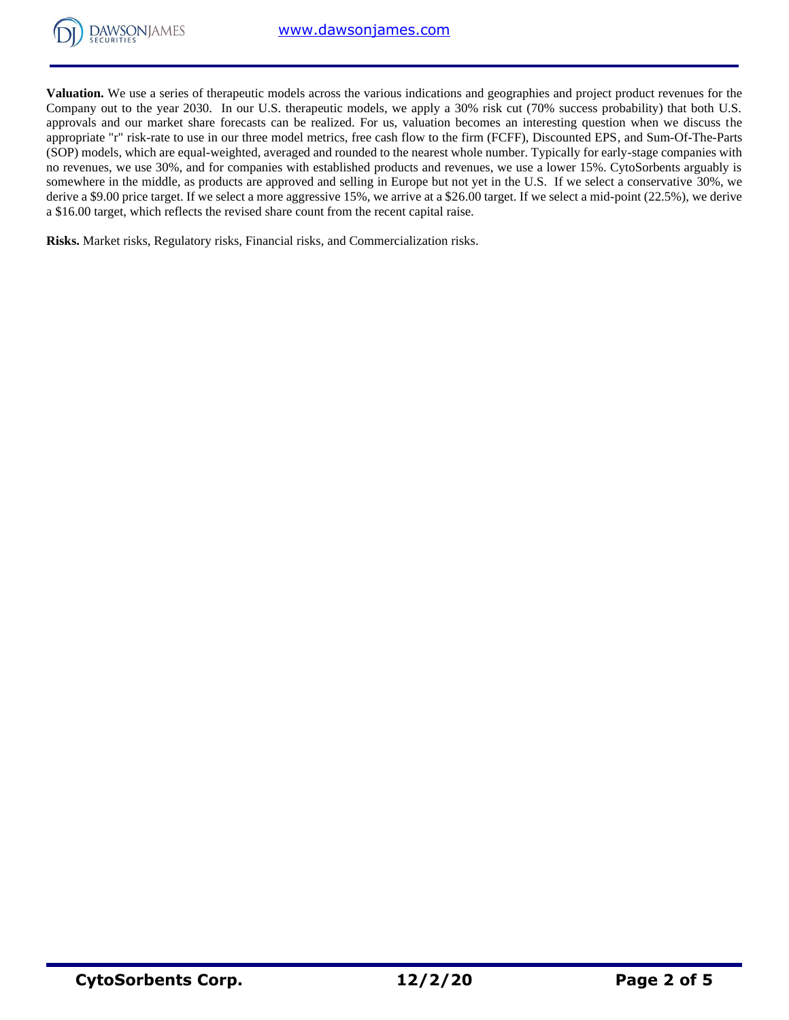

**Valuation.** We use a series of therapeutic models across the various indications and geographies and project product revenues for the Company out to the year 2030. In our U.S. therapeutic models, we apply a 30% risk cut (70% success probability) that both U.S. approvals and our market share forecasts can be realized. For us, valuation becomes an interesting question when we discuss the appropriate "r" risk-rate to use in our three model metrics, free cash flow to the firm (FCFF), Discounted EPS, and Sum-Of-The-Parts (SOP) models, which are equal-weighted, averaged and rounded to the nearest whole number. Typically for early-stage companies with no revenues, we use 30%, and for companies with established products and revenues, we use a lower 15%. CytoSorbents arguably is somewhere in the middle, as products are approved and selling in Europe but not yet in the U.S. If we select a conservative 30%, we derive a \$9.00 price target. If we select a more aggressive 15%, we arrive at a \$26.00 target. If we select a mid-point (22.5%), we derive a \$16.00 target, which reflects the revised share count from the recent capital raise.

**Risks.** Market risks, Regulatory risks, Financial risks, and Commercialization risks.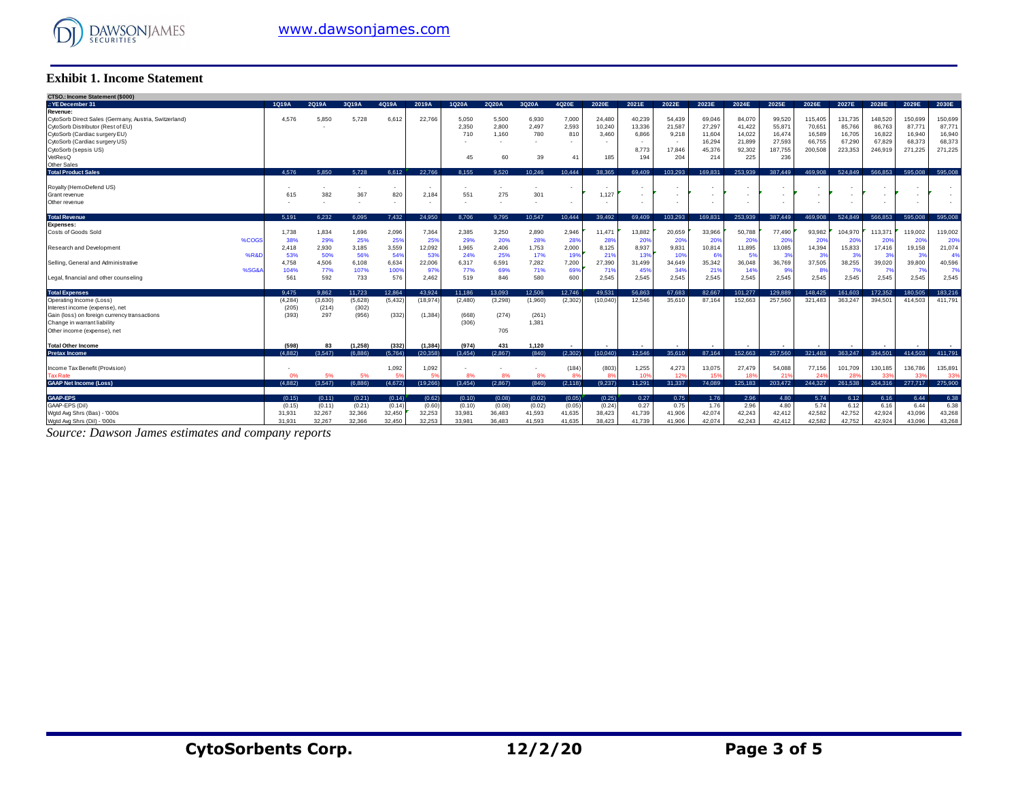

#### **Exhibit 1. Income Statement**

| <b>Exhibit 1. Income Statement</b>                                                                                                                                                                          |                            |                            |                                 |                            |                            |                            |                               |                             |                            |                            |                                                                |                                                      |                                                       |                                                       |                                                        |                                                  |                                                  |                                                  |                                                  |                                                  |
|-------------------------------------------------------------------------------------------------------------------------------------------------------------------------------------------------------------|----------------------------|----------------------------|---------------------------------|----------------------------|----------------------------|----------------------------|-------------------------------|-----------------------------|----------------------------|----------------------------|----------------------------------------------------------------|------------------------------------------------------|-------------------------------------------------------|-------------------------------------------------------|--------------------------------------------------------|--------------------------------------------------|--------------------------------------------------|--------------------------------------------------|--------------------------------------------------|--------------------------------------------------|
| CTSO.: Income Statement (\$000)                                                                                                                                                                             |                            |                            |                                 |                            |                            |                            |                               |                             |                            |                            |                                                                |                                                      |                                                       |                                                       |                                                        |                                                  |                                                  |                                                  |                                                  |                                                  |
| .: YE December 31                                                                                                                                                                                           | 1Q19A                      | 2Q19A                      | 3Q19A                           | 4Q19A                      | 2019A                      | 1Q20A                      | 2Q20A                         | 3Q20A                       | 4Q20E                      | 2020E                      | 2021E                                                          | 2022E                                                | 2023E                                                 | 2024E                                                 | 2025E                                                  | 2026E                                            | 2027E                                            | 2028E                                            | 2029E                                            | 2030E                                            |
| Revenue:<br>CytoSorb Direct Sales (Germany, Austria, Switzerland)<br>CytoSorb Distributor (Rest of EU)<br>CytoSorb (Cardiac surgery EU)<br>CytoSorb (Cardiac surgery US)<br>CytoSorb (sepsis US)<br>VetResQ | 4.576                      | 5,850                      | 5.728                           | 6,612                      | 22.766                     | 5.050<br>2,350<br>710      | 5.500<br>2,800<br>1.160<br>60 | 6,930<br>2,497<br>780<br>39 | 7,000<br>2,593<br>810      | 24.480<br>10,240<br>3.460  | 40,239<br>13,336<br>6,866<br>$\sim$<br>8,773                   | 54.439<br>21,587<br>9,218<br>$\sim$<br>17.846<br>204 | 69,046<br>27,297<br>11,604<br>16,294<br>45.376<br>214 | 84,070<br>41,422<br>14.022<br>21,899<br>92.302<br>225 | 99,520<br>55,871<br>16,474<br>27,593<br>187,755<br>236 | 115,405<br>70,651<br>16,589<br>66,755<br>200,508 | 131.735<br>85,766<br>16,705<br>67,290<br>223.353 | 148,520<br>86,763<br>16,822<br>67.829<br>246,919 | 150,699<br>87,77'<br>16,940<br>68,373<br>271.225 | 150,699<br>87,771<br>16,940<br>68,373<br>271,225 |
| Other Sales                                                                                                                                                                                                 |                            |                            |                                 |                            |                            | 45                         |                               |                             | 41                         | 185                        | 194                                                            |                                                      |                                                       |                                                       |                                                        |                                                  |                                                  |                                                  |                                                  |                                                  |
| <b>Total Product Sales</b>                                                                                                                                                                                  | 4.576                      | 5.850                      | 5.728                           | 6.612                      | 22.766                     | 8.155                      | 9.520                         | 10.246                      | 10.444                     | 38.365                     | 69.409                                                         | 103.293                                              | 169.831                                               | 253.939                                               | 387.449                                                | 469,908                                          | 524.849                                          | 566.853                                          | 595.008                                          | 595.008                                          |
| Royalty (HemoDefend US)<br>Grant revenue<br>Other revenue                                                                                                                                                   | 615                        | 382                        | 367<br>$\overline{\phantom{a}}$ | $\sim$<br>820<br>٠         | 2.184                      | 551                        | 275                           | 301                         |                            | 1.127                      | $\overline{\phantom{a}}$<br>$\overline{\phantom{a}}$<br>$\sim$ |                                                      |                                                       |                                                       |                                                        |                                                  | $\overline{\phantom{a}}$                         |                                                  | ٠<br>٠                                           |                                                  |
| <b>Total Revenue</b>                                                                                                                                                                                        | 5.191                      | 6.232                      | 6.095                           | 7.432                      | 24.950                     | 8.706                      | 9.795                         | 10.547                      | 10.444                     | 39.492                     | 69.409                                                         | 103.293                                              | 169.831                                               | 253,939                                               | 387.449                                                | 469,908                                          | 524.849                                          | 566.853                                          | 595,008                                          | 595,008                                          |
| <b>Expenses:</b><br>Costs of Goods Sold<br>%COGS                                                                                                                                                            | 1.738<br>38%               | 1,834<br>29%               | 1.696<br>25%                    | 2,096<br>25%               | 7.364<br>25%               | 2.385<br>29%               | 3.250<br>20%                  | 2,890<br>28%                | 2,946<br>28%               | 11.471<br>28%              | 13,882<br>20%                                                  | 20.659<br>20%                                        | 33,966<br>20%                                         | 50.788<br>20%                                         | 77,490<br>20%                                          | 93.982<br>20%                                    | 104.970<br>20%                                   | 113,371<br>20%                                   | 119,002<br>20%                                   | 119,002<br>20%                                   |
| Research and Development<br>%R&D                                                                                                                                                                            | 2,418<br>53%               | 2,930<br>50%               | 3,185<br>56%                    | 3,559<br>54%               | 12,092<br>53%              | 1,965<br>24%               | 2,406<br>25%                  | 1,753<br>17%                | 2,000<br>199               | 8,125<br>219               | 8,937<br>139                                                   | 9,831<br>10%                                         | 10,814<br>6%                                          | 11,895                                                | 13,085<br>3%                                           | 14,394<br>-39                                    | 15,833<br>3 <sup>o</sup>                         | 17,416<br>3 <sup>o</sup>                         | 19,158<br>-31                                    | 21,074<br>-49                                    |
| Selling, General and Administrative<br>%SG&<br>Legal, financial and other counseling                                                                                                                        | 4.758<br>104%<br>561       | 4.506<br>77%<br>592        | 6.108<br>107%<br>733            | 6,634<br>100%<br>576       | 22,006<br>97%<br>2,462     | 6,317<br>77%<br>519        | 6.591<br>69%<br>846           | 7,282<br>71%<br>580         | 7,200<br>699<br>600        | 27,390<br>719<br>2,545     | 31,499<br>45%<br>2,545                                         | 34,649<br>34%<br>2,545                               | 35,342<br>219<br>2,545                                | 36,048<br>14%<br>2.545                                | 36,769<br>9%<br>2,545                                  | 37,505<br>8 <sup>°</sup><br>2,545                | 38,255<br>7%<br>2,545                            | 39,020<br>7%<br>2.545                            | 39,800<br>7 <sup>0</sup><br>2.545                | 40,596<br>7%<br>2,545                            |
|                                                                                                                                                                                                             |                            |                            |                                 |                            |                            |                            |                               |                             |                            |                            |                                                                |                                                      |                                                       |                                                       |                                                        |                                                  |                                                  |                                                  |                                                  |                                                  |
| <b>Total Expenses</b>                                                                                                                                                                                       | 9.475                      | 9.862                      | 11.723                          | 12.864                     | 43.924                     | 11.186                     | 13.093                        | 12.506                      | 12.746                     | 49.531                     | 56.863                                                         | 67.683                                               | 82.667                                                | 101.277                                               | 129,889                                                | 148.425                                          | 161.603                                          | 172.352                                          | 180.505                                          | 183.216                                          |
| Operating Income (Loss)<br>Interest income (expense), net<br>Gain (loss) on foreign currency transactions<br>Change in warrant liability<br>Other income (expense), net                                     | (4, 284)<br>(205)<br>(393) | (3,630)<br>(214)<br>297    | (5,628)<br>(302)<br>(956)       | (5, 432)<br>(332)          | (18, 974)<br>(1.384)       | (2.480)<br>(668)<br>(306)  | (3,298)<br>(274)<br>705       | (1,960)<br>(261)<br>1,381   | (2.302)                    | (10.040)                   | 12.546                                                         | 35,610                                               | 87.164                                                | 152.663                                               | 257.560                                                | 321.483                                          | 363.247                                          | 394.501                                          | 414.503                                          | 411.791                                          |
| <b>Total Other Income</b>                                                                                                                                                                                   | (598)                      | 83                         | (1, 258)                        | (332)                      | (1, 384)                   | (974)                      | 431                           | 1.120                       |                            |                            |                                                                |                                                      |                                                       |                                                       |                                                        |                                                  |                                                  |                                                  |                                                  |                                                  |
| <b>Pretax Income</b>                                                                                                                                                                                        | (4.882)                    | (3.547)                    | (6.886)                         | (5.764)                    | (20.358)                   | (3.454)                    | (2.867)                       | (840)                       | (2.302)                    | (10.040)                   | 12.546                                                         | 35.610                                               | 87.164                                                | 152.663                                               | 257.560                                                | 321,483                                          | 363.247                                          | 394.501                                          | 414.503                                          | 411.791                                          |
| Income Tax Benefit (Provision)<br><b>Tax Rate</b>                                                                                                                                                           | 0%                         | 5%                         | 5%                              | 1,092<br>51                | 1,092<br>59                | 8%                         | 8%                            | 8%                          | (184)<br>8s                | (803)                      | 1,255<br>10                                                    | 4,273<br>12 <sup>o</sup>                             | 13,075<br>15%                                         | 27,479                                                | 54.088<br>21 <sup>1</sup>                              | 77.156                                           | 101.709<br>28                                    | 130,185<br>339                                   | 136,786<br>33                                    | 135,891<br>339                                   |
| <b>GAAP Net Income (Loss)</b>                                                                                                                                                                               | (4.882)                    | (3.547)                    | (6.886)                         | (4,672)                    | (19, 266)                  | (3,454)                    | (2,867)                       | (840)                       | (2, 118)                   | (9,237)                    | 11,291                                                         | 31,337                                               | 74.089                                                | 125.183                                               | 203,472                                                | 244,327                                          | 261,538                                          | 264,316                                          | 277,717                                          | 275,900                                          |
| <b>GAAP-EPS</b><br>GAAP-EPS (Dil)<br>Wgtd Avg Shrs (Bas) - '000s                                                                                                                                            | (0.15)<br>(0.15)<br>31,931 | (0.11)<br>(0.11)<br>32,267 | (0.21)<br>(0.21)<br>32,366      | (0.14)<br>(0.14)<br>32,450 | (0.62)<br>(0.60)<br>32,253 | (0.10)<br>(0.10)<br>33,981 | (0.08)<br>(0.08)<br>36,483    | (0.02)<br>(0.02)<br>41,593  | (0.05)<br>(0.05)<br>41,635 | (0.25)<br>(0.24)<br>38,423 | 0.27<br>0.27<br>41,739                                         | 0.75<br>0.75<br>41,906                               | 1.76<br>1.76<br>42,074                                | 2.96<br>2.96<br>42,243                                | 4.80<br>4.80<br>42,412                                 | 5.74<br>5.74<br>42,582                           | 6.12<br>6.12<br>42,752                           | 6.16<br>6.16<br>42,924                           | 6.44<br>6.44<br>43,096                           | 6.38<br>6.38<br>43,268                           |
| Wgtd Avg Shrs (Dil) - '000s                                                                                                                                                                                 | 31,931                     | 32.267                     | 32.366                          | 32.450                     | 32.253                     | 33,981                     | 36.483                        | 41.593                      | 41.635                     | 38.423                     | 41.739                                                         | 41.906                                               | 42.074                                                | 42.243                                                | 42.412                                                 | 42.582                                           | 42.752                                           | 42.924                                           | 43.096                                           | 43.268                                           |

*Source: Dawson James estimates and company reports*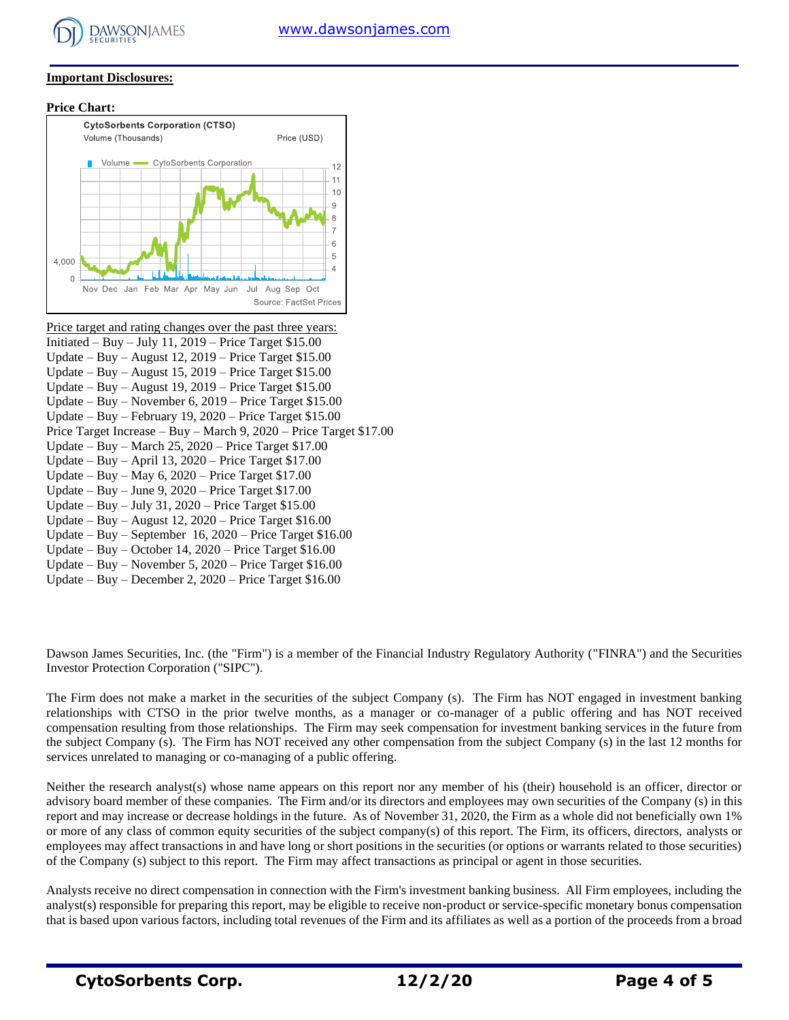#### **Important Disclosures:**

**Price Chart:**



Price target and rating changes over the past three years: Initiated – Buy – July 11,  $2019$  – Price Target \$15.00 Update – Buy – August 12, 2019 – Price Target \$15.00 Update – Buy – August 15, 2019 – Price Target \$15.00 Update – Buy – August 19, 2019 – Price Target \$15.00 Update – Buy – November 6, 2019 – Price Target \$15.00 Update – Buy – February 19, 2020 – Price Target \$15.00 Price Target Increase – Buy – March 9, 2020 – Price Target \$17.00 Update – Buy – March 25, 2020 – Price Target \$17.00 Update – Buy – April 13, 2020 – Price Target \$17.00 Update – Buy – May 6, 2020 – Price Target \$17.00 Update – Buy – June 9, 2020 – Price Target \$17.00 Update – Buy – July 31, 2020 – Price Target \$15.00 Update – Buy – August  $12, 2020$  – Price Target \$16.00 Update – Buy – September 16, 2020 – Price Target \$16.00 Update – Buy – October 14, 2020 – Price Target \$16.00 Update – Buy – November 5, 2020 – Price Target \$16.00 Update – Buy – December 2, 2020 – Price Target \$16.00

Dawson James Securities, Inc. (the "Firm") is a member of the Financial Industry Regulatory Authority ("FINRA") and the Securities Investor Protection Corporation ("SIPC").

The Firm does not make a market in the securities of the subject Company (s). The Firm has NOT engaged in investment banking relationships with CTSO in the prior twelve months, as a manager or co-manager of a public offering and has NOT received compensation resulting from those relationships. The Firm may seek compensation for investment banking services in the future from the subject Company (s). The Firm has NOT received any other compensation from the subject Company (s) in the last 12 months for services unrelated to managing or co-managing of a public offering.

Neither the research analyst(s) whose name appears on this report nor any member of his (their) household is an officer, director or advisory board member of these companies. The Firm and/or its directors and employees may own securities of the Company (s) in this report and may increase or decrease holdings in the future. As of November 31, 2020, the Firm as a whole did not beneficially own 1% or more of any class of common equity securities of the subject company(s) of this report. The Firm, its officers, directors, analysts or employees may affect transactions in and have long or short positions in the securities (or options or warrants related to those securities) of the Company (s) subject to this report. The Firm may affect transactions as principal or agent in those securities.

Analysts receive no direct compensation in connection with the Firm's investment banking business. All Firm employees, including the analyst(s) responsible for preparing this report, may be eligible to receive non-product or service-specific monetary bonus compensation that is based upon various factors, including total revenues of the Firm and its affiliates as well as a portion of the proceeds from a broad